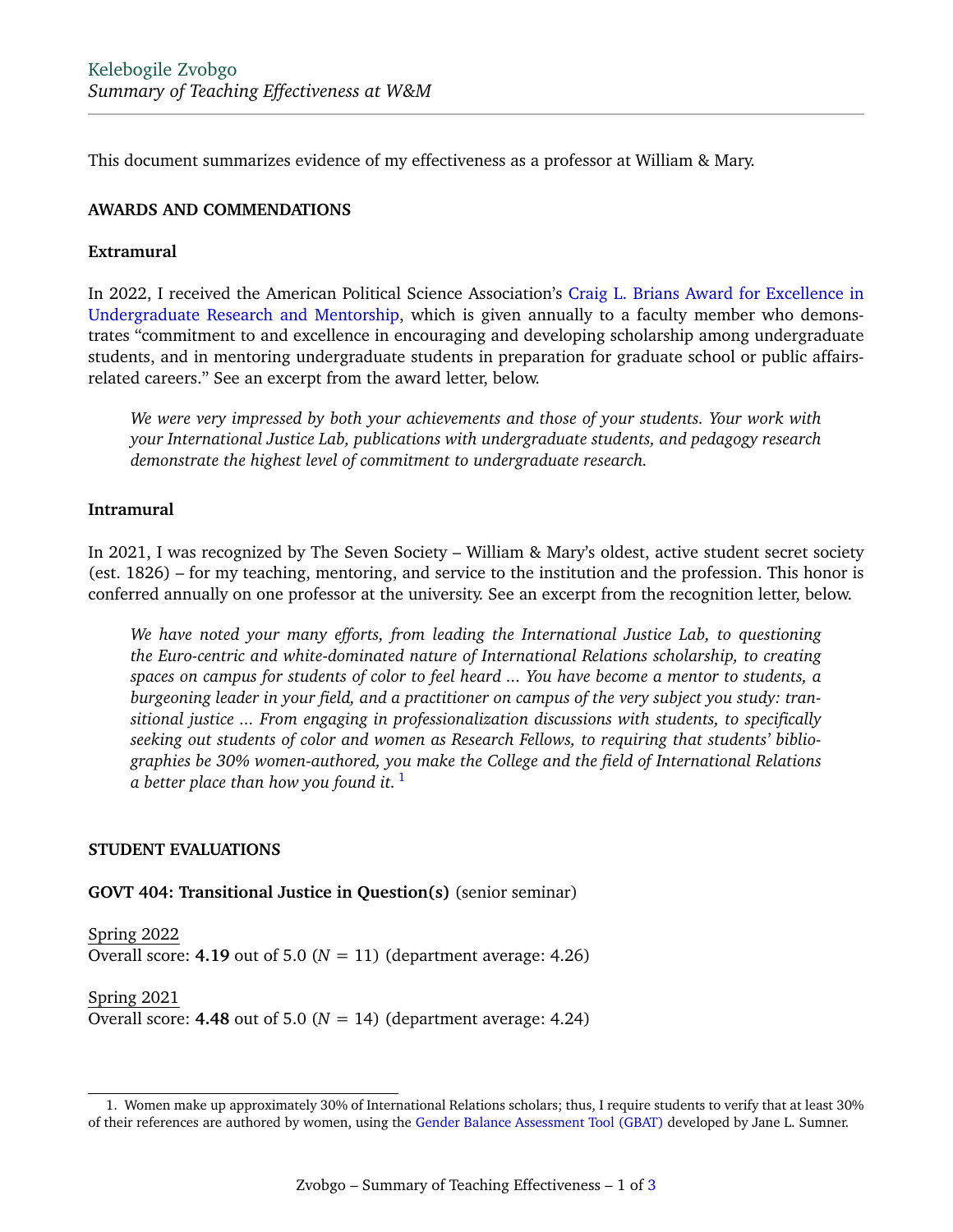This document summarizes evidence of my effectiveness as a professor at William & Mary.

### **AWARDS AND COMMENDATIONS**

### **Extramural**

In 2022, I received the American Political Science Association's [Craig L. Brians Award for Excellence in](https://www.apsanet.org/STAFF/Membership-Workspace/Organized-Sections/Organized-Section-Awards/Organized-Section-Awards/Section-29) [Undergraduate Research and Mentorship,](https://www.apsanet.org/STAFF/Membership-Workspace/Organized-Sections/Organized-Section-Awards/Organized-Section-Awards/Section-29) which is given annually to a faculty member who demonstrates "commitment to and excellence in encouraging and developing scholarship among undergraduate students, and in mentoring undergraduate students in preparation for graduate school or public affairsrelated careers." See an excerpt from the award letter, below.

*We were very impressed by both your achievements and those of your students. Your work with your International Justice Lab, publications with undergraduate students, and pedagogy research demonstrate the highest level of commitment to undergraduate research.*

## **Intramural**

In 2021, I was recognized by The Seven Society – William & Mary's oldest, active student secret society (est. 1826) – for my teaching, mentoring, and service to the institution and the profession. This honor is conferred annually on one professor at the university. See an excerpt from the recognition letter, below.

*We have noted your many efforts, from leading the International Justice Lab, to questioning the Euro-centric and white-dominated nature of International Relations scholarship, to creating spaces on campus for students of color to feel heard ... You have become a mentor to students, a burgeoning leader in your field, and a practitioner on campus of the very subject you study: transitional justice ... From engaging in professionalization discussions with students, to specifically seeking out students of color and women as Research Fellows, to requiring that students' bibliographies be 30% women-authored, you make the College and the field of International Relations a better place than how you found it.* <sup>1</sup>

#### **STUDENT EVALUATIONS**

#### **GOVT 404: Transitional Justice in Question(s)** (senior seminar)

Spring 2022 Overall score:  $4.19$  out of  $5.0$  ( $N = 11$ ) (department average:  $4.26$ )

Spring 2021 Overall score: **4.48** out of 5.0 ( $N = 14$ ) (department average: 4.24)

<sup>1.</sup> Women make up approximately 30% of International Relations scholars; thus, I require students to verify that at least 30% of their references are authored by women, using the [Gender Balance Assessment Tool \(GBAT\)](https://jlsumner.shinyapps.io/syllabustool/) developed by Jane L. Sumner.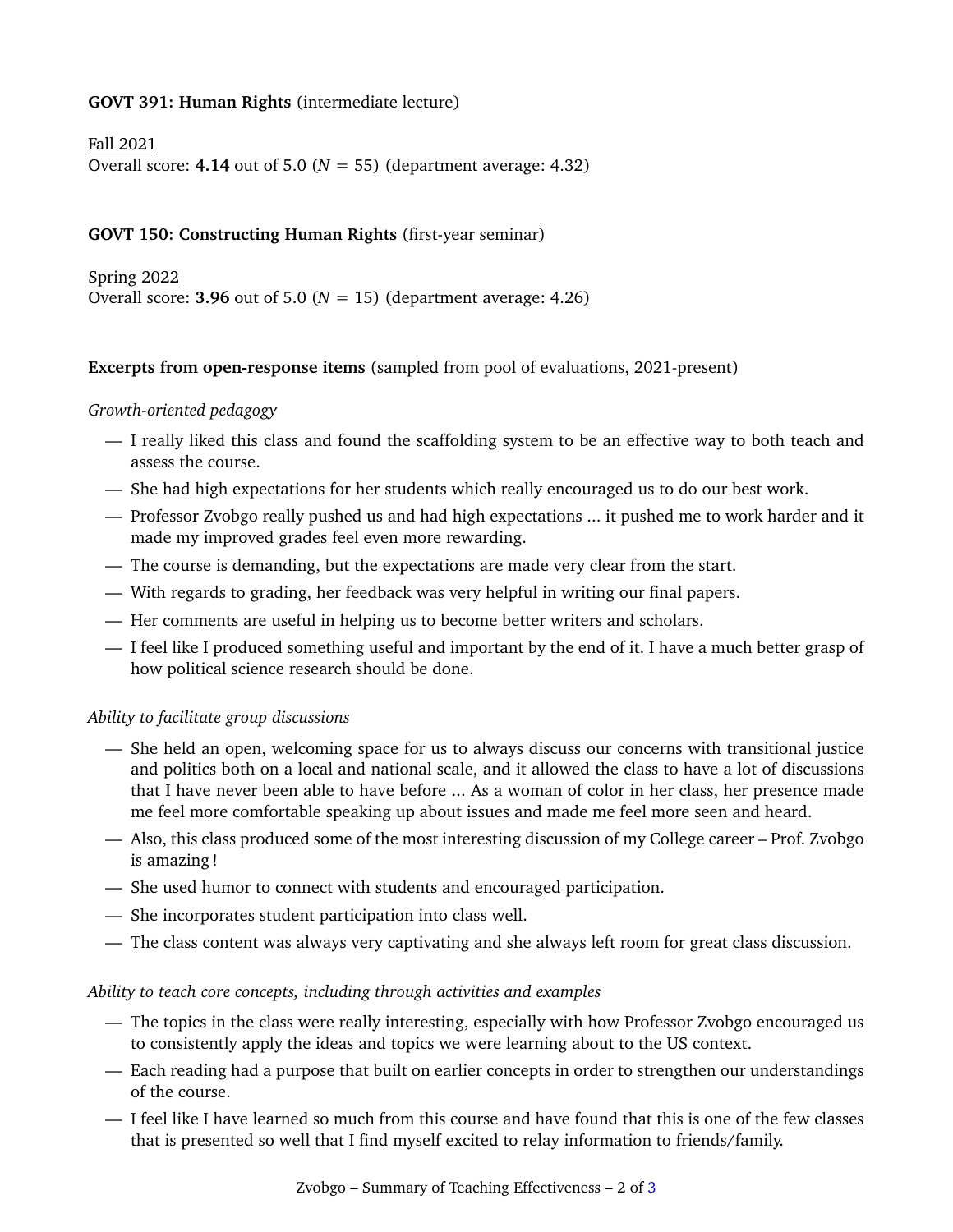# **GOVT 391: Human Rights** (intermediate lecture)

Fall 2021 Overall score: **4.14** out of 5.0 ( $N = 55$ ) (department average: 4.32)

# **GOVT 150: Constructing Human Rights** (first-year seminar)

Spring 2022 Overall score: **3.96** out of 5.0 ( $N = 15$ ) (department average: 4.26)

#### **Excerpts from open-response items** (sampled from pool of evaluations, 2021-present)

#### *Growth-oriented pedagogy*

- I really liked this class and found the scaffolding system to be an effective way to both teach and assess the course.
- She had high expectations for her students which really encouraged us to do our best work.
- Professor Zvobgo really pushed us and had high expectations ... it pushed me to work harder and it made my improved grades feel even more rewarding.
- The course is demanding, but the expectations are made very clear from the start.
- With regards to grading, her feedback was very helpful in writing our final papers.
- Her comments are useful in helping us to become better writers and scholars.
- I feel like I produced something useful and important by the end of it. I have a much better grasp of how political science research should be done.

#### *Ability to facilitate group discussions*

- She held an open, welcoming space for us to always discuss our concerns with transitional justice and politics both on a local and national scale, and it allowed the class to have a lot of discussions that I have never been able to have before ... As a woman of color in her class, her presence made me feel more comfortable speaking up about issues and made me feel more seen and heard.
- Also, this class produced some of the most interesting discussion of my College career Prof. Zvobgo is amazing !
- She used humor to connect with students and encouraged participation.
- She incorporates student participation into class well.
- The class content was always very captivating and she always left room for great class discussion.

#### *Ability to teach core concepts, including through activities and examples*

- The topics in the class were really interesting, especially with how Professor Zvobgo encouraged us to consistently apply the ideas and topics we were learning about to the US context.
- Each reading had a purpose that built on earlier concepts in order to strengthen our understandings of the course.
- I feel like I have learned so much from this course and have found that this is one of the few classes that is presented so well that I find myself excited to relay information to friends/family.